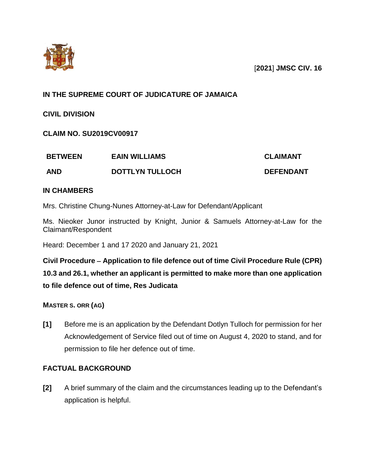

# **IN THE SUPREME COURT OF JUDICATURE OF JAMAICA**

**CIVIL DIVISION** 

**CLAIM NO. SU2019CV00917**

| <b>BETWEEN</b> | <b>EAIN WILLIAMS</b>   | <b>CLAIMANT</b>  |
|----------------|------------------------|------------------|
| <b>AND</b>     | <b>DOTTLYN TULLOCH</b> | <b>DEFENDANT</b> |

## **IN CHAMBERS**

Mrs. Christine Chung-Nunes Attorney-at-Law for Defendant/Applicant

Ms. Nieoker Junor instructed by Knight, Junior & Samuels Attorney-at-Law for the Claimant/Respondent

Heard: December 1 and 17 2020 and January 21, 2021

**Civil Procedure Application to file defence out of time Civil Procedure Rule (CPR) 10.3 and 26.1, whether an applicant is permitted to make more than one application to file defence out of time, Res Judicata** 

**MASTER S. ORR (AG)**

**[1]** Before me is an application by the Defendant Dotlyn Tulloch for permission for her Acknowledgement of Service filed out of time on August 4, 2020 to stand, and for permission to file her defence out of time.

# **FACTUAL BACKGROUND**

**[2]** A brief summary of the claim and the circumstances leading up to the Defendant's application is helpful.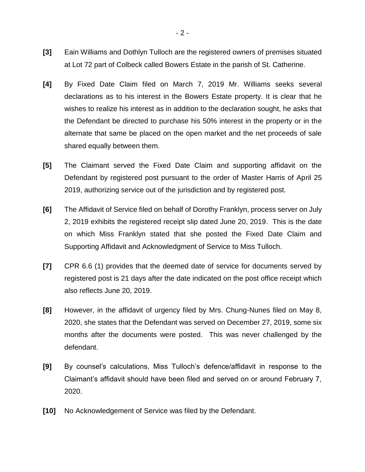- **[3]** Eain Williams and Dothlyn Tulloch are the registered owners of premises situated at Lot 72 part of Colbeck called Bowers Estate in the parish of St. Catherine.
- **[4]** By Fixed Date Claim filed on March 7, 2019 Mr. Williams seeks several declarations as to his interest in the Bowers Estate property. It is clear that he wishes to realize his interest as in addition to the declaration sought, he asks that the Defendant be directed to purchase his 50% interest in the property or in the alternate that same be placed on the open market and the net proceeds of sale shared equally between them.
- **[5]** The Claimant served the Fixed Date Claim and supporting affidavit on the Defendant by registered post pursuant to the order of Master Harris of April 25 2019, authorizing service out of the jurisdiction and by registered post.
- **[6]** The Affidavit of Service filed on behalf of Dorothy Franklyn, process server on July 2, 2019 exhibits the registered receipt slip dated June 20, 2019. This is the date on which Miss Franklyn stated that she posted the Fixed Date Claim and Supporting Affidavit and Acknowledgment of Service to Miss Tulloch.
- **[7]** CPR 6.6 (1) provides that the deemed date of service for documents served by registered post is 21 days after the date indicated on the post office receipt which also reflects June 20, 2019.
- **[8]** However, in the affidavit of urgency filed by Mrs. Chung-Nunes filed on May 8, 2020, she states that the Defendant was served on December 27, 2019, some six months after the documents were posted. This was never challenged by the defendant.
- **[9]** By counsel's calculations, Miss Tulloch's defence/affidavit in response to the Claimant's affidavit should have been filed and served on or around February 7, 2020.
- **[10]** No Acknowledgement of Service was filed by the Defendant.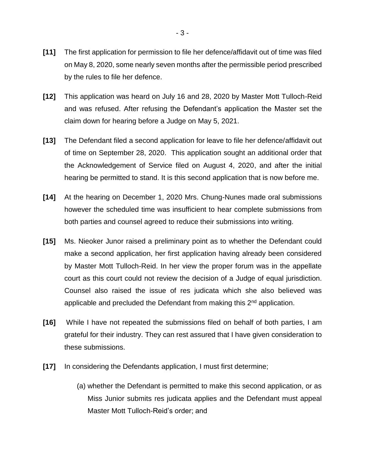- **[11]** The first application for permission to file her defence/affidavit out of time was filed on May 8, 2020, some nearly seven months after the permissible period prescribed by the rules to file her defence.
- **[12]** This application was heard on July 16 and 28, 2020 by Master Mott Tulloch-Reid and was refused. After refusing the Defendant's application the Master set the claim down for hearing before a Judge on May 5, 2021.
- **[13]** The Defendant filed a second application for leave to file her defence/affidavit out of time on September 28, 2020. This application sought an additional order that the Acknowledgement of Service filed on August 4, 2020, and after the initial hearing be permitted to stand. It is this second application that is now before me.
- **[14]** At the hearing on December 1, 2020 Mrs. Chung-Nunes made oral submissions however the scheduled time was insufficient to hear complete submissions from both parties and counsel agreed to reduce their submissions into writing.
- **[15]** Ms. Nieoker Junor raised a preliminary point as to whether the Defendant could make a second application, her first application having already been considered by Master Mott Tulloch-Reid. In her view the proper forum was in the appellate court as this court could not review the decision of a Judge of equal jurisdiction. Counsel also raised the issue of res judicata which she also believed was applicable and precluded the Defendant from making this 2<sup>nd</sup> application.
- **[16]** While I have not repeated the submissions filed on behalf of both parties, I am grateful for their industry. They can rest assured that I have given consideration to these submissions.
- **[17]** In considering the Defendants application, I must first determine;
	- (a) whether the Defendant is permitted to make this second application, or as Miss Junior submits res judicata applies and the Defendant must appeal Master Mott Tulloch-Reid's order; and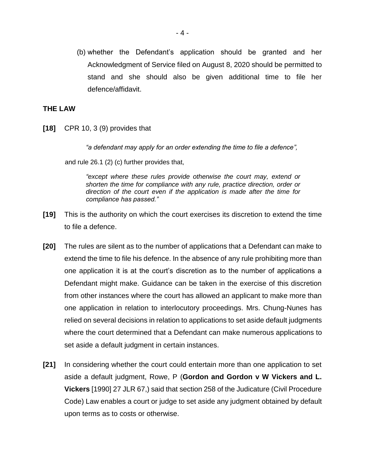(b) whether the Defendant's application should be granted and her Acknowledgment of Service filed on August 8, 2020 should be permitted to stand and she should also be given additional time to file her defence/affidavit.

#### **THE LAW**

**[18]** CPR 10, 3 (9) provides that

*"a defendant may apply for an order extending the time to file a defence",*

and rule 26.1 (2) (c) further provides that,

*"except where these rules provide otherwise the court may, extend or shorten the time for compliance with any rule, practice direction, order or direction of the court even if the application is made after the time for compliance has passed."*

- **[19]** This is the authority on which the court exercises its discretion to extend the time to file a defence.
- **[20]** The rules are silent as to the number of applications that a Defendant can make to extend the time to file his defence. In the absence of any rule prohibiting more than one application it is at the court's discretion as to the number of applications a Defendant might make. Guidance can be taken in the exercise of this discretion from other instances where the court has allowed an applicant to make more than one application in relation to interlocutory proceedings. Mrs. Chung-Nunes has relied on several decisions in relation to applications to set aside default judgments where the court determined that a Defendant can make numerous applications to set aside a default judgment in certain instances.
- **[21]** In considering whether the court could entertain more than one application to set aside a default judgment, Rowe, P (**Gordon and Gordon v W Vickers and L. Vickers** [1990] 27 JLR 67,) said that section 258 of the Judicature (Civil Procedure Code) Law enables a court or judge to set aside any judgment obtained by default upon terms as to costs or otherwise.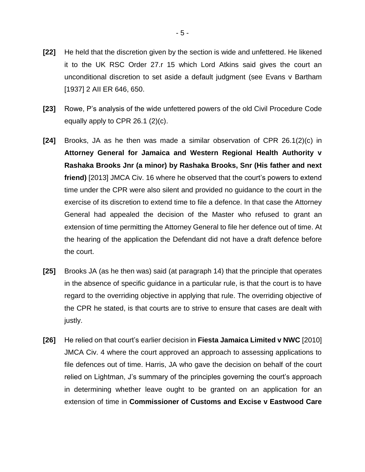- **[22]** He held that the discretion given by the section is wide and unfettered. He likened it to the UK RSC Order 27.r 15 which Lord Atkins said gives the court an unconditional discretion to set aside a default judgment (see Evans v Bartham [1937] 2 AII ER 646, 650.
- **[23]** Rowe, P's analysis of the wide unfettered powers of the old Civil Procedure Code equally apply to CPR 26.1 (2)(c).
- **[24]** Brooks, JA as he then was made a similar observation of CPR 26.1(2)(c) in **Attorney General for Jamaica and Western Regional Health Authority v Rashaka Brooks Jnr (a minor) by Rashaka Brooks, Snr (His father and next friend)** [2013] JMCA Civ. 16 where he observed that the court's powers to extend time under the CPR were also silent and provided no guidance to the court in the exercise of its discretion to extend time to file a defence. In that case the Attorney General had appealed the decision of the Master who refused to grant an extension of time permitting the Attorney General to file her defence out of time. At the hearing of the application the Defendant did not have a draft defence before the court.
- **[25]** Brooks JA (as he then was) said (at paragraph 14) that the principle that operates in the absence of specific guidance in a particular rule, is that the court is to have regard to the overriding objective in applying that rule. The overriding objective of the CPR he stated, is that courts are to strive to ensure that cases are dealt with justly.
- **[26]** He relied on that court's earlier decision in **Fiesta Jamaica Limited v NWC** [2010] JMCA Civ. 4 where the court approved an approach to assessing applications to file defences out of time. Harris, JA who gave the decision on behalf of the court relied on Lightman, J's summary of the principles governing the court's approach in determining whether leave ought to be granted on an application for an extension of time in **Commissioner of Customs and Excise v Eastwood Care**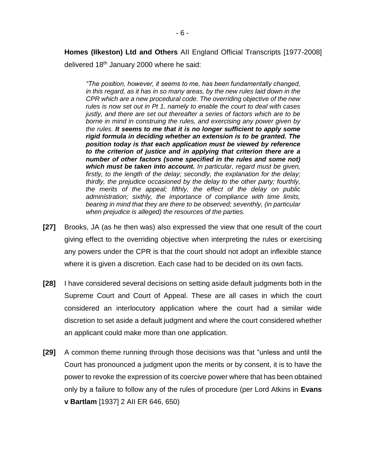**Homes (IIkeston) Ltd and Others** AII England Official Transcripts [1977-2008]

delivered 18th January 2000 where he said:

*"The position, however, it seems to me, has been fundamentally changed, in this regard, as it has in so many areas, by the new rules laid down in the CPR which are a new procedural code. The overriding objective of the new rules is now set out in Pt 1, namely to enable the court to deal with cases justly, and there are set out thereafter a series of factors which are to be borne in mind in construing the rules, and exercising any power given by the rules. It seems to me that it is no longer sufficient to apply some rigid formula in deciding whether an extension is to be granted. The position today is that each application must be viewed by reference to the criterion of justice and in applying that criterion there are a number of other factors (some specified in the rules and some not) which must be taken into account. In particular, regard must be given, firstly, to the length of the delay; secondly, the explanation for the delay; thirdly, the prejudice occasioned by the delay to the other party; fourthly, the merits of the appeal; fifthly, the effect of the delay on public administration; sixthly, the importance of compliance with time limits, bearing in mind that they are there to be observed; seventhly, (in particular when prejudice is alleged) the resources of the parties.*

- **[27]** Brooks, JA (as he then was) also expressed the view that one result of the court giving effect to the overriding objective when interpreting the rules or exercising any powers under the CPR is that the court should not adopt an inflexible stance where it is given a discretion. Each case had to be decided on its own facts.
- **[28]** I have considered several decisions on setting aside default judgments both in the Supreme Court and Court of Appeal. These are all cases in which the court considered an interlocutory application where the court had a similar wide discretion to set aside a default judgment and where the court considered whether an applicant could make more than one application.
- **[29]** A common theme running through those decisions was that "unless and until the Court has pronounced a judgment upon the merits or by consent, it is to have the power to revoke the expression of its coercive power where that has been obtained only by a failure to follow any of the rules of procedure (per Lord Atkins in **Evans v Bartlam** [1937] 2 AII ER 646, 650)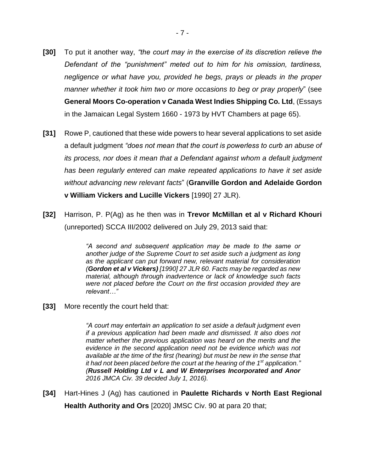- **[30]** To put it another way, *"the court may in the exercise of its discretion relieve the Defendant of the "punishment" meted out to him for his omission, tardiness, negligence or what have you, provided he begs, prays or pleads in the proper manner whether it took him two or more occasions to beg or pray properly*" (see **General Moors Co-operation v Canada West Indies Shipping Co. Ltd**, (Essays in the Jamaican Legal System 1660 - 1973 by HVT Chambers at page 65).
- **[31]** Rowe P, cautioned that these wide powers to hear several applications to set aside a default judgment *"does not mean that the court is powerless to curb an abuse of its process, nor does it mean that a Defendant against whom a default judgment has been regularly entered can make repeated applications to have it set aside without advancing new relevant facts*" (**Granville Gordon and Adelaide Gordon v William Vickers and Lucille Vickers** [1990] 27 JLR).
- **[32]** Harrison, P. P(Ag) as he then was in **Trevor McMillan et al v Richard Khouri** (unreported) SCCA III/2002 delivered on July 29, 2013 said that:

*"A second and subsequent application may be made to the same or another judge of the Supreme Court to set aside such a judgment as long as the applicant can put forward new, relevant material for consideration (Gordon et al v Vickers) [1990] 27 JLR 60. Facts may be regarded as new material, although through inadvertence or lack of knowledge such facts were not placed before the Court on the first occasion provided they are relevant…"*

**[33]** More recently the court held that:

*"A court may entertain an application to set aside a default judgment even if a previous application had been made and dismissed. It also does not matter whether the previous application was heard on the merits and the evidence in the second application need not be evidence which was not available at the time of the first (hearing) but must be new in the sense that it had not been placed before the court at the hearing of the 1st application." (Russell Holding Ltd v L and W Enterprises Incorporated and Anor 2016 JMCA Civ. 39 decided July 1, 2016).*

**[34]** Hart-Hines J (Ag) has cautioned in **Paulette Richards v North East Regional Health Authority and Ors** [2020] JMSC Civ. 90 at para 20 that;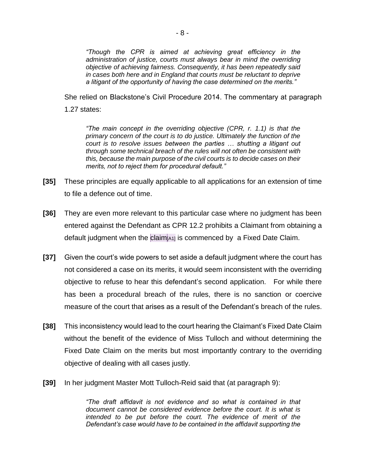*"Though the CPR is aimed at achieving great efficiency in the administration of justice, courts must always bear in mind the overriding objective of achieving fairness. Consequently, it has been repeatedly said in cases both here and in England that courts must be reluctant to deprive a litigant of the opportunity of having the case determined on the merits."*

She relied on Blackstone's Civil Procedure 2014. The commentary at paragraph 1.27 states:

*"The main concept in the overriding objective (CPR, r. 1.1) is that the primary concern of the court is to do justice. Ultimately the function of the court is to resolve issues between the parties … shutting a litigant out through some technical breach of the rules will not often be consistent with this, because the main purpose of the civil courts is to decide cases on their merits, not to reject them for procedural default."*

- **[35]** These principles are equally applicable to all applications for an extension of time to file a defence out of time.
- **[36]** They are even more relevant to this particular case where no judgment has been entered against the Defendant as CPR 12.2 prohibits a Claimant from obtaining a default judgment when the claim[A1] is commenced by a Fixed Date Claim.
- **[37]** Given the court's wide powers to set aside a default judgment where the court has not considered a case on its merits, it would seem inconsistent with the overriding objective to refuse to hear this defendant's second application. For while there has been a procedural breach of the rules, there is no sanction or coercive measure of the court that arises as a result of the Defendant's breach of the rules.
- **[38]** This inconsistency would lead to the court hearing the Claimant's Fixed Date Claim without the benefit of the evidence of Miss Tulloch and without determining the Fixed Date Claim on the merits but most importantly contrary to the overriding objective of dealing with all cases justly.
- **[39]** In her judgment Master Mott Tulloch-Reid said that (at paragraph 9):

*"The draft affidavit is not evidence and so what is contained in that document cannot be considered evidence before the court. It is what is intended to be put before the court. The evidence of merit of the Defendant's case would have to be contained in the affidavit supporting the*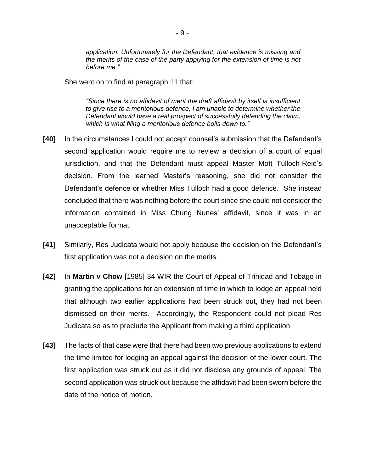*application. Unfortunately for the Defendant, that evidence is missing and the merits of the case of the party applying for the extension of time is not before me."*

She went on to find at paragraph 11 that:

*"Since there is no affidavit of merit the draft affidavit by itself is insufficient to give rise to a meritorious defence, I am unable to determine whether the Defendant would have a real prospect of successfully defending the claim, which is what filing a meritorious defence boils down to."*

- **[40]** In the circumstances I could not accept counsel's submission that the Defendant's second application would require me to review a decision of a court of equal jurisdiction, and that the Defendant must appeal Master Mott Tulloch-Reid's decision. From the learned Master's reasoning, she did not consider the Defendant's defence or whether Miss Tulloch had a good defence. She instead concluded that there was nothing before the court since she could not consider the information contained in Miss Chung Nunes' affidavit, since it was in an unacceptable format.
- **[41]** Similarly, Res Judicata would not apply because the decision on the Defendant's first application was not a decision on the merits.
- **[42]** In **Martin v Chow** [1985] 34 WIR the Court of Appeal of Trinidad and Tobago in granting the applications for an extension of time in which to lodge an appeal held that although two earlier applications had been struck out, they had not been dismissed on their merits. Accordingly, the Respondent could not plead Res Judicata so as to preclude the Applicant from making a third application.
- **[43]** The facts of that case were that there had been two previous applications to extend the time limited for lodging an appeal against the decision of the lower court. The first application was struck out as it did not disclose any grounds of appeal. The second application was struck out because the affidavit had been sworn before the date of the notice of motion.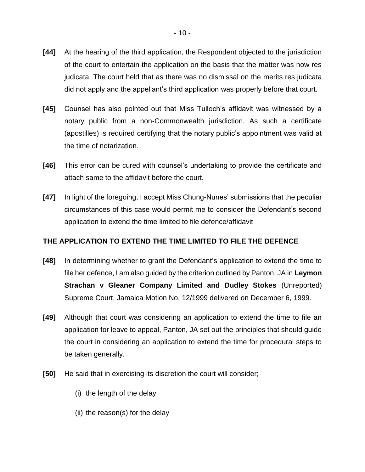- **[44]** At the hearing of the third application, the Respondent objected to the jurisdiction of the court to entertain the application on the basis that the matter was now res judicata. The court held that as there was no dismissal on the merits res judicata did not apply and the appellant's third application was properly before that court.
- **[45]** Counsel has also pointed out that Miss Tulloch's affidavit was witnessed by a notary public from a non-Commonwealth jurisdiction. As such a certificate (apostilles) is required certifying that the notary public's appointment was valid at the time of notarization.
- **[46]** This error can be cured with counsel's undertaking to provide the certificate and attach same to the affidavit before the court.
- **[47]** In light of the foregoing, I accept Miss Chung-Nunes' submissions that the peculiar circumstances of this case would permit me to consider the Defendant's second application to extend the time limited to file defence/affidavit

## **THE APPLICATION TO EXTEND THE TIME LIMITED TO FILE THE DEFENCE**

- **[48]** In determining whether to grant the Defendant's application to extend the time to file her defence, I am also guided by the criterion outlined by Panton, JA in **Leymon Strachan v Gleaner Company Limited and Dudley Stokes** (Unreported) Supreme Court, Jamaica Motion No. 12/1999 delivered on December 6, 1999.
- **[49]** Although that court was considering an application to extend the time to file an application for leave to appeal, Panton, JA set out the principles that should guide the court in considering an application to extend the time for procedural steps to be taken generally.
- **[50]** He said that in exercising its discretion the court will consider;
	- (i) the length of the delay
	- (ii) the reason(s) for the delay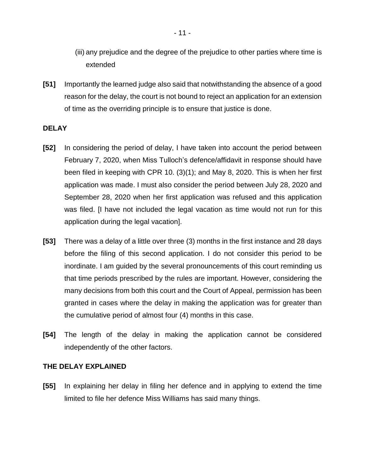- (iii) any prejudice and the degree of the prejudice to other parties where time is extended
- **[51]** Importantly the learned judge also said that notwithstanding the absence of a good reason for the delay, the court is not bound to reject an application for an extension of time as the overriding principle is to ensure that justice is done.

## **DELAY**

- **[52]** In considering the period of delay, I have taken into account the period between February 7, 2020, when Miss Tulloch's defence/affidavit in response should have been filed in keeping with CPR 10. (3)(1); and May 8, 2020. This is when her first application was made. I must also consider the period between July 28, 2020 and September 28, 2020 when her first application was refused and this application was filed. [I have not included the legal vacation as time would not run for this application during the legal vacation].
- **[53]** There was a delay of a little over three (3) months in the first instance and 28 days before the filing of this second application. I do not consider this period to be inordinate. I am guided by the several pronouncements of this court reminding us that time periods prescribed by the rules are important. However, considering the many decisions from both this court and the Court of Appeal, permission has been granted in cases where the delay in making the application was for greater than the cumulative period of almost four (4) months in this case.
- **[54]** The length of the delay in making the application cannot be considered independently of the other factors.

#### **THE DELAY EXPLAINED**

**[55]** In explaining her delay in filing her defence and in applying to extend the time limited to file her defence Miss Williams has said many things.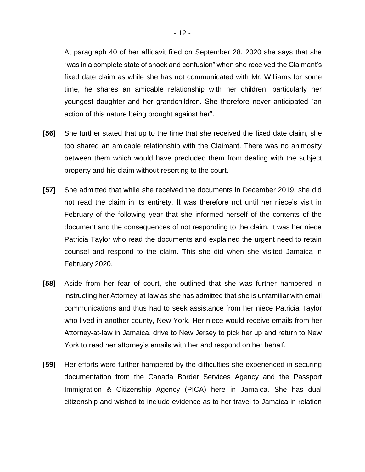At paragraph 40 of her affidavit filed on September 28, 2020 she says that she "was in a complete state of shock and confusion" when she received the Claimant's fixed date claim as while she has not communicated with Mr. Williams for some time, he shares an amicable relationship with her children, particularly her youngest daughter and her grandchildren. She therefore never anticipated "an action of this nature being brought against her".

- **[56]** She further stated that up to the time that she received the fixed date claim, she too shared an amicable relationship with the Claimant. There was no animosity between them which would have precluded them from dealing with the subject property and his claim without resorting to the court.
- **[57]** She admitted that while she received the documents in December 2019, she did not read the claim in its entirety. It was therefore not until her niece's visit in February of the following year that she informed herself of the contents of the document and the consequences of not responding to the claim. It was her niece Patricia Taylor who read the documents and explained the urgent need to retain counsel and respond to the claim. This she did when she visited Jamaica in February 2020.
- **[58]** Aside from her fear of court, she outlined that she was further hampered in instructing her Attorney-at-law as she has admitted that she is unfamiliar with email communications and thus had to seek assistance from her niece Patricia Taylor who lived in another county, New York. Her niece would receive emails from her Attorney-at-law in Jamaica, drive to New Jersey to pick her up and return to New York to read her attorney's emails with her and respond on her behalf.
- **[59]** Her efforts were further hampered by the difficulties she experienced in securing documentation from the Canada Border Services Agency and the Passport Immigration & Citizenship Agency (PICA) here in Jamaica. She has dual citizenship and wished to include evidence as to her travel to Jamaica in relation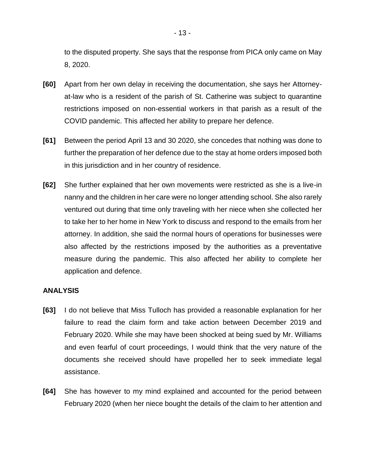to the disputed property. She says that the response from PICA only came on May 8, 2020.

- **[60]** Apart from her own delay in receiving the documentation, she says her Attorneyat-law who is a resident of the parish of St. Catherine was subject to quarantine restrictions imposed on non-essential workers in that parish as a result of the COVID pandemic. This affected her ability to prepare her defence.
- **[61]** Between the period April 13 and 30 2020, she concedes that nothing was done to further the preparation of her defence due to the stay at home orders imposed both in this jurisdiction and in her country of residence.
- **[62]** She further explained that her own movements were restricted as she is a live-in nanny and the children in her care were no longer attending school. She also rarely ventured out during that time only traveling with her niece when she collected her to take her to her home in New York to discuss and respond to the emails from her attorney. In addition, she said the normal hours of operations for businesses were also affected by the restrictions imposed by the authorities as a preventative measure during the pandemic. This also affected her ability to complete her application and defence.

#### **ANALYSIS**

- **[63]** I do not believe that Miss Tulloch has provided a reasonable explanation for her failure to read the claim form and take action between December 2019 and February 2020. While she may have been shocked at being sued by Mr. Williams and even fearful of court proceedings, I would think that the very nature of the documents she received should have propelled her to seek immediate legal assistance.
- **[64]** She has however to my mind explained and accounted for the period between February 2020 (when her niece bought the details of the claim to her attention and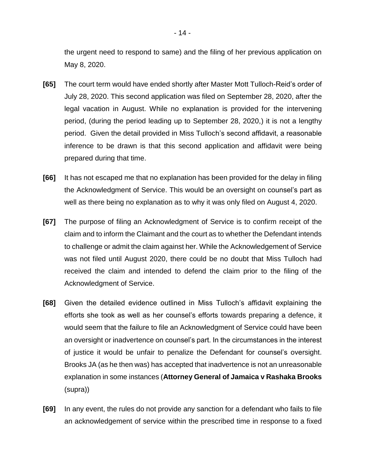the urgent need to respond to same) and the filing of her previous application on May 8, 2020.

- **[65]** The court term would have ended shortly after Master Mott Tulloch-Reid's order of July 28, 2020. This second application was filed on September 28, 2020, after the legal vacation in August. While no explanation is provided for the intervening period, (during the period leading up to September 28, 2020,) it is not a lengthy period. Given the detail provided in Miss Tulloch's second affidavit, a reasonable inference to be drawn is that this second application and affidavit were being prepared during that time.
- **[66]** It has not escaped me that no explanation has been provided for the delay in filing the Acknowledgment of Service. This would be an oversight on counsel's part as well as there being no explanation as to why it was only filed on August 4, 2020.
- **[67]** The purpose of filing an Acknowledgment of Service is to confirm receipt of the claim and to inform the Claimant and the court as to whether the Defendant intends to challenge or admit the claim against her. While the Acknowledgement of Service was not filed until August 2020, there could be no doubt that Miss Tulloch had received the claim and intended to defend the claim prior to the filing of the Acknowledgment of Service.
- **[68]** Given the detailed evidence outlined in Miss Tulloch's affidavit explaining the efforts she took as well as her counsel's efforts towards preparing a defence, it would seem that the failure to file an Acknowledgment of Service could have been an oversight or inadvertence on counsel's part. In the circumstances in the interest of justice it would be unfair to penalize the Defendant for counsel's oversight. Brooks JA (as he then was) has accepted that inadvertence is not an unreasonable explanation in some instances (**Attorney General of Jamaica v Rashaka Brooks**  (supra))
- **[69]** In any event, the rules do not provide any sanction for a defendant who fails to file an acknowledgement of service within the prescribed time in response to a fixed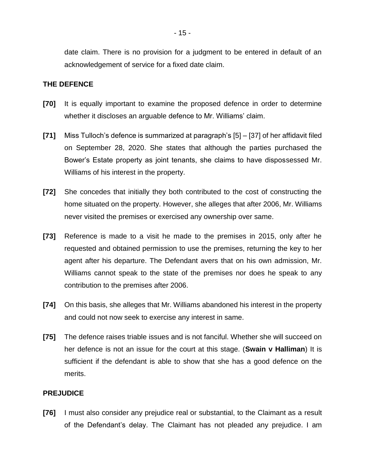date claim. There is no provision for a judgment to be entered in default of an acknowledgement of service for a fixed date claim.

#### **THE DEFENCE**

- **[70]** It is equally important to examine the proposed defence in order to determine whether it discloses an arguable defence to Mr. Williams' claim.
- **[71]** Miss Tulloch's defence is summarized at paragraph's [5] [37] of her affidavit filed on September 28, 2020. She states that although the parties purchased the Bower's Estate property as joint tenants, she claims to have dispossessed Mr. Williams of his interest in the property.
- **[72]** She concedes that initially they both contributed to the cost of constructing the home situated on the property. However, she alleges that after 2006, Mr. Williams never visited the premises or exercised any ownership over same.
- **[73]** Reference is made to a visit he made to the premises in 2015, only after he requested and obtained permission to use the premises, returning the key to her agent after his departure. The Defendant avers that on his own admission, Mr. Williams cannot speak to the state of the premises nor does he speak to any contribution to the premises after 2006.
- **[74]** On this basis, she alleges that Mr. Williams abandoned his interest in the property and could not now seek to exercise any interest in same.
- **[75]** The defence raises triable issues and is not fanciful. Whether she will succeed on her defence is not an issue for the court at this stage. (**Swain v Halliman**) It is sufficient if the defendant is able to show that she has a good defence on the merits.

## **PREJUDICE**

**[76]** I must also consider any prejudice real or substantial, to the Claimant as a result of the Defendant's delay. The Claimant has not pleaded any prejudice. I am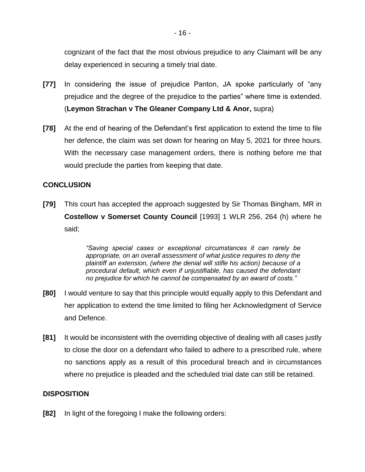cognizant of the fact that the most obvious prejudice to any Claimant will be any delay experienced in securing a timely trial date.

- **[77]** In considering the issue of prejudice Panton, JA spoke particularly of "any prejudice and the degree of the prejudice to the parties" where time is extended. (**Leymon Strachan v The Gleaner Company Ltd & Anor,** supra)
- **[78]** At the end of hearing of the Defendant's first application to extend the time to file her defence, the claim was set down for hearing on May 5, 2021 for three hours. With the necessary case management orders, there is nothing before me that would preclude the parties from keeping that date.

## **CONCLUSION**

**[79]** This court has accepted the approach suggested by Sir Thomas Bingham, MR in **Costellow v Somerset County Council** [1993] 1 WLR 256, 264 (h) where he said;

> *"Saving special cases or exceptional circumstances it can rarely be appropriate, on an overall assessment of what justice requires to deny the plaintiff an extension, (where the denial will stifle his action) because of a procedural default, which even if unjustifiable, has caused the defendant no prejudice for which he cannot be compensated by an award of costs."*

- **[80]** I would venture to say that this principle would equally apply to this Defendant and her application to extend the time limited to filing her Acknowledgment of Service and Defence.
- **[81]** It would be inconsistent with the overriding objective of dealing with all cases justly to close the door on a defendant who failed to adhere to a prescribed rule, where no sanctions apply as a result of this procedural breach and in circumstances where no prejudice is pleaded and the scheduled trial date can still be retained.

## **DISPOSITION**

**[82]** In light of the foregoing I make the following orders: